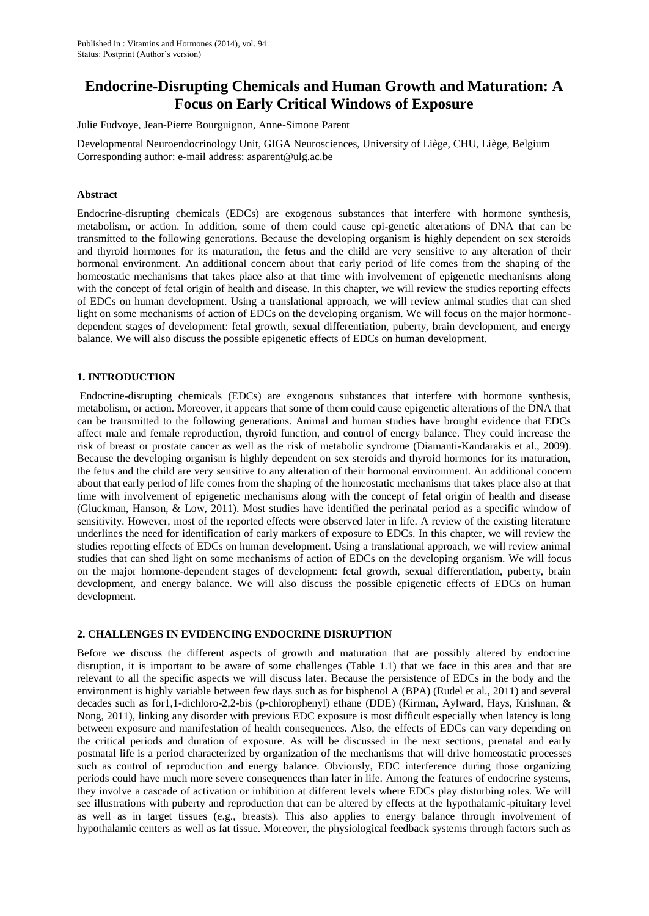# **Endocrine-Disrupting Chemicals and Human Growth and Maturation: A Focus on Early Critical Windows of Exposure**

Julie Fudvoye, Jean-Pierre Bourguignon, Anne-Simone Parent

Developmental Neuroendocrinology Unit, GIGA Neurosciences, University of Liège, CHU, Liège, Belgium Corresponding author: e-mail address: [asparent@ulg.ac.be](mailto:asparent@ulg.ac.be)

#### **Abstract**

Endocrine-disrupting chemicals (EDCs) are exogenous substances that interfere with hormone synthesis, metabolism, or action. In addition, some of them could cause epi-genetic alterations of DNA that can be transmitted to the following generations. Because the developing organism is highly dependent on sex steroids and thyroid hormones for its maturation, the fetus and the child are very sensitive to any alteration of their hormonal environment. An additional concern about that early period of life comes from the shaping of the homeostatic mechanisms that takes place also at that time with involvement of epigenetic mechanisms along with the concept of fetal origin of health and disease. In this chapter, we will review the studies reporting effects of EDCs on human development. Using a translational approach, we will review animal studies that can shed light on some mechanisms of action of EDCs on the developing organism. We will focus on the major hormonedependent stages of development: fetal growth, sexual differentiation, puberty, brain development, and energy balance. We will also discuss the possible epigenetic effects of EDCs on human development.

#### **1. INTRODUCTION**

Endocrine-disrupting chemicals (EDCs) are exogenous substances that interfere with hormone synthesis, metabolism, or action. Moreover, it appears that some of them could cause epigenetic alterations of the DNA that can be transmitted to the following generations. Animal and human studies have brought evidence that EDCs affect male and female reproduction, thyroid function, and control of energy balance. They could increase the risk of breast or prostate cancer as well as the risk of metabolic syndrome (Diamanti-Kandarakis et al., 2009). Because the developing organism is highly dependent on sex steroids and thyroid hormones for its maturation, the fetus and the child are very sensitive to any alteration of their hormonal environment. An additional concern about that early period of life comes from the shaping of the homeostatic mechanisms that takes place also at that time with involvement of epigenetic mechanisms along with the concept of fetal origin of health and disease (Gluckman, Hanson, & Low, 2011). Most studies have identified the perinatal period as a specific window of sensitivity. However, most of the reported effects were observed later in life. A review of the existing literature underlines the need for identification of early markers of exposure to EDCs. In this chapter, we will review the studies reporting effects of EDCs on human development. Using a translational approach, we will review animal studies that can shed light on some mechanisms of action of EDCs on the developing organism. We will focus on the major hormone-dependent stages of development: fetal growth, sexual differentiation, puberty, brain development, and energy balance. We will also discuss the possible epigenetic effects of EDCs on human development.

#### **2. CHALLENGES IN EVIDENCING ENDOCRINE DISRUPTION**

Before we discuss the different aspects of growth and maturation that are possibly altered by endocrine disruption, it is important to be aware of some challenges (Table 1.1) that we face in this area and that are relevant to all the specific aspects we will discuss later. Because the persistence of EDCs in the body and the environment is highly variable between few days such as for bisphenol A (BPA) (Rudel et al., 2011) and several decades such as for1,1-dichloro-2,2-bis (p-chlorophenyl) ethane (DDE) (Kirman, Aylward, Hays, Krishnan, & Nong, 2011), linking any disorder with previous EDC exposure is most difficult especially when latency is long between exposure and manifestation of health consequences. Also, the effects of EDCs can vary depending on the critical periods and duration of exposure. As will be discussed in the next sections, prenatal and early postnatal life is a period characterized by organization of the mechanisms that will drive homeostatic processes such as control of reproduction and energy balance. Obviously, EDC interference during those organizing periods could have much more severe consequences than later in life. Among the features of endocrine systems, they involve a cascade of activation or inhibition at different levels where EDCs play disturbing roles. We will see illustrations with puberty and reproduction that can be altered by effects at the hypothalamic-pituitary level as well as in target tissues (e.g., breasts). This also applies to energy balance through involvement of hypothalamic centers as well as fat tissue. Moreover, the physiological feedback systems through factors such as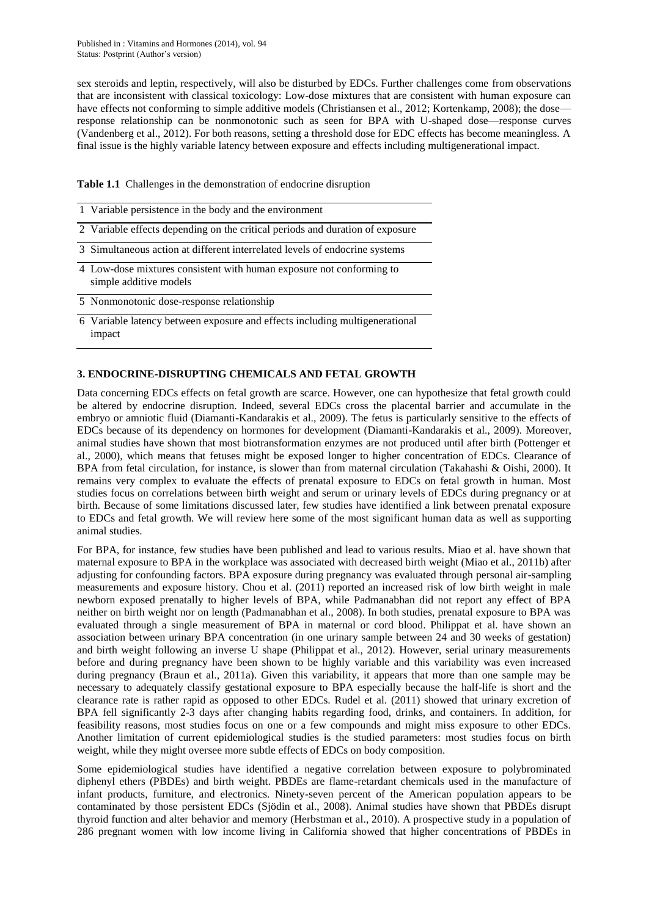sex steroids and leptin, respectively, will also be disturbed by EDCs. Further challenges come from observations that are inconsistent with classical toxicology: Low-dose mixtures that are consistent with human exposure can have effects not conforming to simple additive models (Christiansen et al., 2012; Kortenkamp, 2008); the doseresponse relationship can be nonmonotonic such as seen for BPA with U-shaped dose—response curves (Vandenberg et al., 2012). For both reasons, setting a threshold dose for EDC effects has become meaningless. A final issue is the highly variable latency between exposure and effects including multigenerational impact.

**Table 1.1** Challenges in the demonstration of endocrine disruption

| 1 Variable persistence in the body and the environment                                         |
|------------------------------------------------------------------------------------------------|
| 2 Variable effects depending on the critical periods and duration of exposure                  |
| 3 Simultaneous action at different interrelated levels of endocrine systems                    |
| 4 Low-dose mixtures consistent with human exposure not conforming to<br>simple additive models |
| 5 Nonmonotonic dose-response relationship                                                      |

6 Variable latency between exposure and effects including multigenerational impact

#### **3. ENDOCRINE-DISRUPTING CHEMICALS AND FETAL GROWTH**

Data concerning EDCs effects on fetal growth are scarce. However, one can hypothesize that fetal growth could be altered by endocrine disruption. Indeed, several EDCs cross the placental barrier and accumulate in the embryo or amniotic fluid (Diamanti-Kandarakis et al., 2009). The fetus is particularly sensitive to the effects of EDCs because of its dependency on hormones for development (Diamanti-Kandarakis et al., 2009). Moreover, animal studies have shown that most biotransformation enzymes are not produced until after birth (Pottenger et al., 2000), which means that fetuses might be exposed longer to higher concentration of EDCs. Clearance of BPA from fetal circulation, for instance, is slower than from maternal circulation (Takahashi & Oishi, 2000). It remains very complex to evaluate the effects of prenatal exposure to EDCs on fetal growth in human. Most studies focus on correlations between birth weight and serum or urinary levels of EDCs during pregnancy or at birth. Because of some limitations discussed later, few studies have identified a link between prenatal exposure to EDCs and fetal growth. We will review here some of the most significant human data as well as supporting animal studies.

For BPA, for instance, few studies have been published and lead to various results. Miao et al. have shown that maternal exposure to BPA in the workplace was associated with decreased birth weight (Miao et al., 2011b) after adjusting for confounding factors. BPA exposure during pregnancy was evaluated through personal air-sampling measurements and exposure history. Chou et al. (2011) reported an increased risk of low birth weight in male newborn exposed prenatally to higher levels of BPA, while Padmanabhan did not report any effect of BPA neither on birth weight nor on length (Padmanabhan et al., 2008). In both studies, prenatal exposure to BPA was evaluated through a single measurement of BPA in maternal or cord blood. Philippat et al. have shown an association between urinary BPA concentration (in one urinary sample between 24 and 30 weeks of gestation) and birth weight following an inverse U shape (Philippat et al., 2012). However, serial urinary measurements before and during pregnancy have been shown to be highly variable and this variability was even increased during pregnancy (Braun et al., 2011a). Given this variability, it appears that more than one sample may be necessary to adequately classify gestational exposure to BPA especially because the half-life is short and the clearance rate is rather rapid as opposed to other EDCs. Rudel et al. (2011) showed that urinary excretion of BPA fell significantly 2-3 days after changing habits regarding food, drinks, and containers. In addition, for feasibility reasons, most studies focus on one or a few compounds and might miss exposure to other EDCs. Another limitation of current epidemiological studies is the studied parameters: most studies focus on birth weight, while they might oversee more subtle effects of EDCs on body composition.

Some epidemiological studies have identified a negative correlation between exposure to polybrominated diphenyl ethers (PBDEs) and birth weight. PBDEs are flame-retardant chemicals used in the manufacture of infant products, furniture, and electronics. Ninety-seven percent of the American population appears to be contaminated by those persistent EDCs (Sjödin et al., 2008). Animal studies have shown that PBDEs disrupt thyroid function and alter behavior and memory (Herbstman et al., 2010). A prospective study in a population of 286 pregnant women with low income living in California showed that higher concentrations of PBDEs in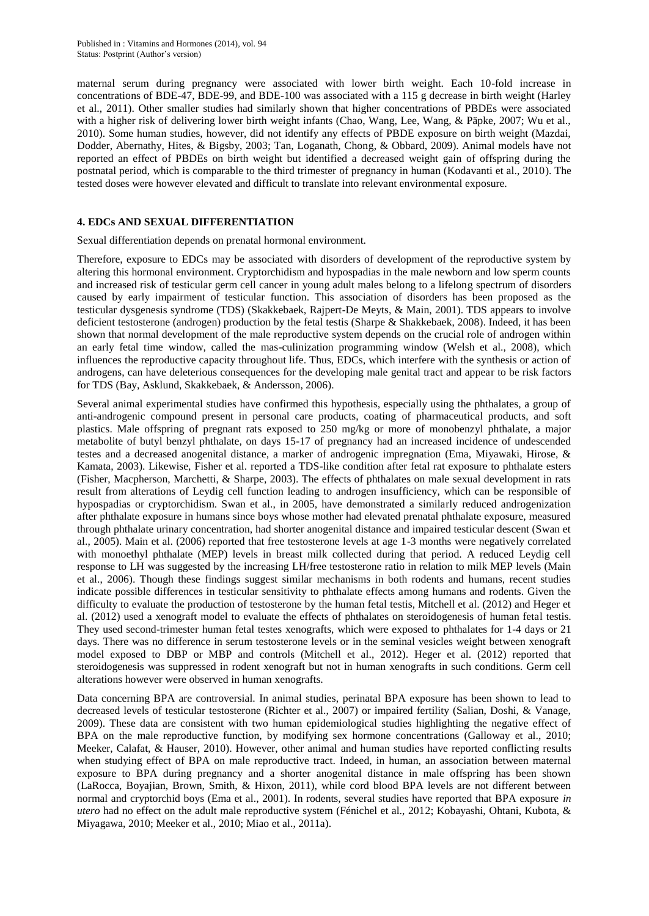maternal serum during pregnancy were associated with lower birth weight. Each 10-fold increase in concentrations of BDE-47, BDE-99, and BDE-100 was associated with a 115 g decrease in birth weight (Harley et al., 2011). Other smaller studies had similarly shown that higher concentrations of PBDEs were associated with a higher risk of delivering lower birth weight infants (Chao, Wang, Lee, Wang, & Päpke, 2007; Wu et al., 2010). Some human studies, however, did not identify any effects of PBDE exposure on birth weight (Mazdai, Dodder, Abernathy, Hites, & Bigsby, 2003; Tan, Loganath, Chong, & Obbard, 2009). Animal models have not reported an effect of PBDEs on birth weight but identified a decreased weight gain of offspring during the postnatal period, which is comparable to the third trimester of pregnancy in human (Kodavanti et al., 2010). The tested doses were however elevated and difficult to translate into relevant environmental exposure.

#### **4. EDCs AND SEXUAL DIFFERENTIATION**

Sexual differentiation depends on prenatal hormonal environment.

Therefore, exposure to EDCs may be associated with disorders of development of the reproductive system by altering this hormonal environment. Cryptorchidism and hypospadias in the male newborn and low sperm counts and increased risk of testicular germ cell cancer in young adult males belong to a lifelong spectrum of disorders caused by early impairment of testicular function. This association of disorders has been proposed as the testicular dysgenesis syndrome (TDS) (Skakkebaek, Rajpert-De Meyts, & Main, 2001). TDS appears to involve deficient testosterone (androgen) production by the fetal testis (Sharpe & Shakkebaek, 2008). Indeed, it has been shown that normal development of the male reproductive system depends on the crucial role of androgen within an early fetal time window, called the mas-culinization programming window (Welsh et al., 2008), which influences the reproductive capacity throughout life. Thus, EDCs, which interfere with the synthesis or action of androgens, can have deleterious consequences for the developing male genital tract and appear to be risk factors for TDS (Bay, Asklund, Skakkebaek, & Andersson, 2006).

Several animal experimental studies have confirmed this hypothesis, especially using the phthalates, a group of anti-androgenic compound present in personal care products, coating of pharmaceutical products, and soft plastics. Male offspring of pregnant rats exposed to 250 mg/kg or more of monobenzyl phthalate, a major metabolite of butyl benzyl phthalate, on days 15-17 of pregnancy had an increased incidence of undescended testes and a decreased anogenital distance, a marker of androgenic impregnation (Ema, Miyawaki, Hirose, & Kamata, 2003). Likewise, Fisher et al. reported a TDS-like condition after fetal rat exposure to phthalate esters (Fisher, Macpherson, Marchetti, & Sharpe, 2003). The effects of phthalates on male sexual development in rats result from alterations of Leydig cell function leading to androgen insufficiency, which can be responsible of hypospadias or cryptorchidism. Swan et al., in 2005, have demonstrated a similarly reduced androgenization after phthalate exposure in humans since boys whose mother had elevated prenatal phthalate exposure, measured through phthalate urinary concentration, had shorter anogenital distance and impaired testicular descent (Swan et al., 2005). Main et al. (2006) reported that free testosterone levels at age 1-3 months were negatively correlated with monoethyl phthalate (MEP) levels in breast milk collected during that period. A reduced Leydig cell response to LH was suggested by the increasing LH/free testosterone ratio in relation to milk MEP levels (Main et al., 2006). Though these findings suggest similar mechanisms in both rodents and humans, recent studies indicate possible differences in testicular sensitivity to phthalate effects among humans and rodents. Given the difficulty to evaluate the production of testosterone by the human fetal testis, Mitchell et al. (2012) and Heger et al. (2012) used a xenograft model to evaluate the effects of phthalates on steroidogenesis of human fetal testis. They used second-trimester human fetal testes xenografts, which were exposed to phthalates for 1-4 days or 21 days. There was no difference in serum testosterone levels or in the seminal vesicles weight between xenograft model exposed to DBP or MBP and controls (Mitchell et al., 2012). Heger et al. (2012) reported that steroidogenesis was suppressed in rodent xenograft but not in human xenografts in such conditions. Germ cell alterations however were observed in human xenografts.

Data concerning BPA are controversial. In animal studies, perinatal BPA exposure has been shown to lead to decreased levels of testicular testosterone (Richter et al., 2007) or impaired fertility (Salian, Doshi, & Vanage, 2009). These data are consistent with two human epidemiological studies highlighting the negative effect of BPA on the male reproductive function, by modifying sex hormone concentrations (Galloway et al., 2010; Meeker, Calafat, & Hauser, 2010). However, other animal and human studies have reported conflicting results when studying effect of BPA on male reproductive tract. Indeed, in human, an association between maternal exposure to BPA during pregnancy and a shorter anogenital distance in male offspring has been shown (LaRocca, Boyajian, Brown, Smith, & Hixon, 2011), while cord blood BPA levels are not different between normal and cryptorchid boys (Ema et al., 2001). In rodents, several studies have reported that BPA exposure *in utero* had no effect on the adult male reproductive system (Fénichel et al., 2012; Kobayashi, Ohtani, Kubota, & Miyagawa, 2010; Meeker et al., 2010; Miao et al., 2011a).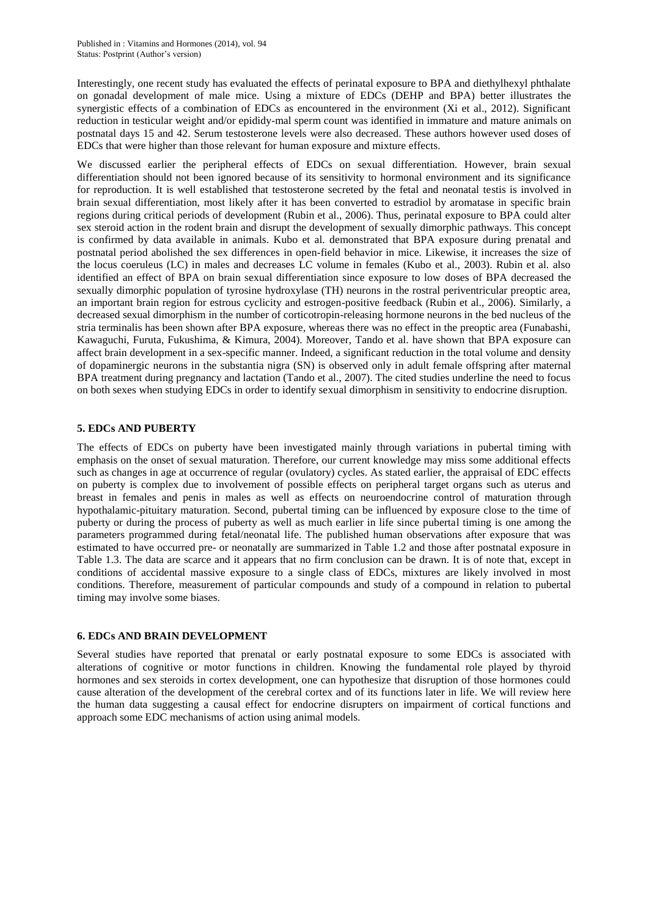Interestingly, one recent study has evaluated the effects of perinatal exposure to BPA and diethylhexyl phthalate on gonadal development of male mice. Using a mixture of EDCs (DEHP and BPA) better illustrates the synergistic effects of a combination of EDCs as encountered in the environment (Xi et al., 2012). Significant reduction in testicular weight and/or epididy-mal sperm count was identified in immature and mature animals on postnatal days 15 and 42. Serum testosterone levels were also decreased. These authors however used doses of EDCs that were higher than those relevant for human exposure and mixture effects.

We discussed earlier the peripheral effects of EDCs on sexual differentiation. However, brain sexual differentiation should not been ignored because of its sensitivity to hormonal environment and its significance for reproduction. It is well established that testosterone secreted by the fetal and neonatal testis is involved in brain sexual differentiation, most likely after it has been converted to estradiol by aromatase in specific brain regions during critical periods of development (Rubin et al., 2006). Thus, perinatal exposure to BPA could alter sex steroid action in the rodent brain and disrupt the development of sexually dimorphic pathways. This concept is confirmed by data available in animals. Kubo et al. demonstrated that BPA exposure during prenatal and postnatal period abolished the sex differences in open-field behavior in mice. Likewise, it increases the size of the locus coeruleus (LC) in males and decreases LC volume in females (Kubo et al., 2003). Rubin et al. also identified an effect of BPA on brain sexual differentiation since exposure to low doses of BPA decreased the sexually dimorphic population of tyrosine hydroxylase (TH) neurons in the rostral periventricular preoptic area, an important brain region for estrous cyclicity and estrogen-positive feedback (Rubin et al., 2006). Similarly, a decreased sexual dimorphism in the number of corticotropin-releasing hormone neurons in the bed nucleus of the stria terminalis has been shown after BPA exposure, whereas there was no effect in the preoptic area (Funabashi, Kawaguchi, Furuta, Fukushima, & Kimura, 2004). Moreover, Tando et al. have shown that BPA exposure can affect brain development in a sex-specific manner. Indeed, a significant reduction in the total volume and density of dopaminergic neurons in the substantia nigra (SN) is observed only in adult female offspring after maternal BPA treatment during pregnancy and lactation (Tando et al., 2007). The cited studies underline the need to focus on both sexes when studying EDCs in order to identify sexual dimorphism in sensitivity to endocrine disruption.

### **5. EDCs AND PUBERTY**

The effects of EDCs on puberty have been investigated mainly through variations in pubertal timing with emphasis on the onset of sexual maturation. Therefore, our current knowledge may miss some additional effects such as changes in age at occurrence of regular (ovulatory) cycles. As stated earlier, the appraisal of EDC effects on puberty is complex due to involvement of possible effects on peripheral target organs such as uterus and breast in females and penis in males as well as effects on neuroendocrine control of maturation through hypothalamic-pituitary maturation. Second, pubertal timing can be influenced by exposure close to the time of puberty or during the process of puberty as well as much earlier in life since pubertal timing is one among the parameters programmed during fetal/neonatal life. The published human observations after exposure that was estimated to have occurred pre- or neonatally are summarized in Table 1.2 and those after postnatal exposure in Table 1.3. The data are scarce and it appears that no firm conclusion can be drawn. It is of note that, except in conditions of accidental massive exposure to a single class of EDCs, mixtures are likely involved in most conditions. Therefore, measurement of particular compounds and study of a compound in relation to pubertal timing may involve some biases.

#### **6. EDCs AND BRAIN DEVELOPMENT**

Several studies have reported that prenatal or early postnatal exposure to some EDCs is associated with alterations of cognitive or motor functions in children. Knowing the fundamental role played by thyroid hormones and sex steroids in cortex development, one can hypothesize that disruption of those hormones could cause alteration of the development of the cerebral cortex and of its functions later in life. We will review here the human data suggesting a causal effect for endocrine disrupters on impairment of cortical functions and approach some EDC mechanisms of action using animal models.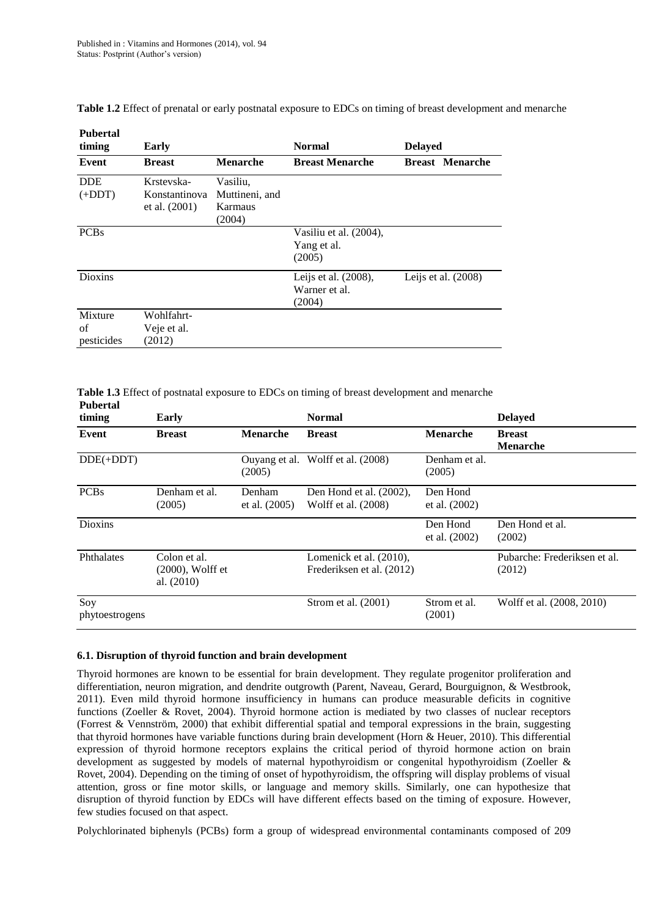**Table 1.2** Effect of prenatal or early postnatal exposure to EDCs on timing of breast development and menarche

| <b>Pubertal</b><br>timing   | <b>Early</b>                                   |                                                 | <b>Normal</b>                                   | <b>Delayed</b>         |
|-----------------------------|------------------------------------------------|-------------------------------------------------|-------------------------------------------------|------------------------|
| Event                       | <b>Breast</b>                                  | <b>Menarche</b>                                 | <b>Breast Menarche</b>                          | <b>Breast Menarche</b> |
| <b>DDE</b><br>$(+DDT)$      | Krstevska-<br>Konstantinova<br>et al. $(2001)$ | Vasiliu.<br>Muttineni, and<br>Karmaus<br>(2004) |                                                 |                        |
| <b>PCBs</b>                 |                                                |                                                 | Vasiliu et al. (2004),<br>Yang et al.<br>(2005) |                        |
| <b>Dioxins</b>              |                                                |                                                 | Leijs et al. (2008),<br>Warner et al.<br>(2004) | Leijs et al. $(2008)$  |
| Mixture<br>of<br>pesticides | Wohlfahrt-<br>Veje et al.<br>(2012)            |                                                 |                                                 |                        |

**Table 1.3** Effect of postnatal exposure to EDCs on timing of breast development and menarche **Pubertal**

| timing                | Early                                               |                           | <b>Normal</b>                                        |                             | <b>Delayed</b>                         |
|-----------------------|-----------------------------------------------------|---------------------------|------------------------------------------------------|-----------------------------|----------------------------------------|
| Event                 | <b>Breast</b>                                       | <b>Menarche</b>           | <b>Breast</b>                                        | <b>Menarche</b>             | <b>Breast</b><br><b>Menarche</b>       |
| $DDE(+DDT)$           |                                                     | Ouyang et al.<br>(2005)   | Wolff et al. (2008)                                  | Denham et al.<br>(2005)     |                                        |
| <b>PCBs</b>           | Denham et al.<br>(2005)                             | Denham<br>et al. $(2005)$ | Den Hond et al. (2002),<br>Wolff et al. (2008)       | Den Hond<br>et al. $(2002)$ |                                        |
| Dioxins               |                                                     |                           |                                                      | Den Hond<br>et al. $(2002)$ | Den Hond et al.<br>(2002)              |
| Phthalates            | Colon et al.<br>$(2000)$ , Wolff et<br>al. $(2010)$ |                           | Lomenick et al. (2010),<br>Frederiksen et al. (2012) |                             | Pubarche: Frederiksen et al.<br>(2012) |
| Soy<br>phytoestrogens |                                                     |                           | Strom et al. (2001)                                  | Strom et al.<br>(2001)      | Wolff et al. (2008, 2010)              |

# **6.1. Disruption of thyroid function and brain development**

Thyroid hormones are known to be essential for brain development. They regulate progenitor proliferation and differentiation, neuron migration, and dendrite outgrowth (Parent, Naveau, Gerard, Bourguignon, & Westbrook, 2011). Even mild thyroid hormone insufficiency in humans can produce measurable deficits in cognitive functions (Zoeller & Rovet, 2004). Thyroid hormone action is mediated by two classes of nuclear receptors (Forrest & Vennström, 2000) that exhibit differential spatial and temporal expressions in the brain, suggesting that thyroid hormones have variable functions during brain development (Horn & Heuer, 2010). This differential expression of thyroid hormone receptors explains the critical period of thyroid hormone action on brain development as suggested by models of maternal hypothyroidism or congenital hypothyroidism (Zoeller & Rovet, 2004). Depending on the timing of onset of hypothyroidism, the offspring will display problems of visual attention, gross or fine motor skills, or language and memory skills. Similarly, one can hypothesize that disruption of thyroid function by EDCs will have different effects based on the timing of exposure. However, few studies focused on that aspect.

Polychlorinated biphenyls (PCBs) form a group of widespread environmental contaminants composed of 209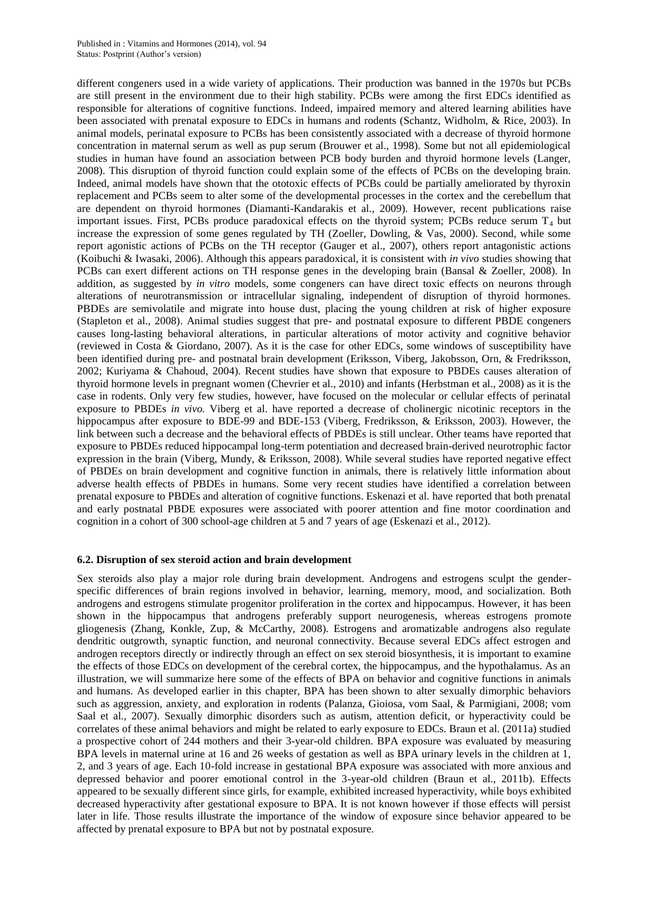different congeners used in a wide variety of applications. Their production was banned in the 1970s but PCBs are still present in the environment due to their high stability. PCBs were among the first EDCs identified as responsible for alterations of cognitive functions. Indeed, impaired memory and altered learning abilities have been associated with prenatal exposure to EDCs in humans and rodents (Schantz, Widholm, & Rice, 2003). In animal models, perinatal exposure to PCBs has been consistently associated with a decrease of thyroid hormone concentration in maternal serum as well as pup serum (Brouwer et al., 1998). Some but not all epidemiological studies in human have found an association between PCB body burden and thyroid hormone levels (Langer, 2008). This disruption of thyroid function could explain some of the effects of PCBs on the developing brain. Indeed, animal models have shown that the ototoxic effects of PCBs could be partially ameliorated by thyroxin replacement and PCBs seem to alter some of the developmental processes in the cortex and the cerebellum that are dependent on thyroid hormones (Diamanti-Kandarakis et al., 2009). However, recent publications raise important issues. First, PCBs produce paradoxical effects on the thyroid system; PCBs reduce serum  $T<sub>4</sub>$  but increase the expression of some genes regulated by TH (Zoeller, Dowling, & Vas, 2000). Second, while some report agonistic actions of PCBs on the TH receptor (Gauger et al., 2007), others report antagonistic actions (Koibuchi & Iwasaki, 2006). Although this appears paradoxical, it is consistent with *in vivo* studies showing that PCBs can exert different actions on TH response genes in the developing brain (Bansal & Zoeller, 2008). In addition, as suggested by *in vitro* models, some congeners can have direct toxic effects on neurons through alterations of neurotransmission or intracellular signaling, independent of disruption of thyroid hormones. PBDEs are semivolatile and migrate into house dust, placing the young children at risk of higher exposure (Stapleton et al., 2008). Animal studies suggest that pre- and postnatal exposure to different PBDE congeners causes long-lasting behavioral alterations, in particular alterations of motor activity and cognitive behavior (reviewed in Costa & Giordano, 2007). As it is the case for other EDCs, some windows of susceptibility have been identified during pre- and postnatal brain development (Eriksson, Viberg, Jakobsson, Orn, & Fredriksson, 2002; Kuriyama & Chahoud, 2004). Recent studies have shown that exposure to PBDEs causes alteration of thyroid hormone levels in pregnant women (Chevrier et al., 2010) and infants (Herbstman et al., 2008) as it is the case in rodents. Only very few studies, however, have focused on the molecular or cellular effects of perinatal exposure to PBDEs *in vivo.* Viberg et al. have reported a decrease of cholinergic nicotinic receptors in the hippocampus after exposure to BDE-99 and BDE-153 (Viberg, Fredriksson, & Eriksson, 2003). However, the link between such a decrease and the behavioral effects of PBDEs is still unclear. Other teams have reported that exposure to PBDEs reduced hippocampal long-term potentiation and decreased brain-derived neurotrophic factor expression in the brain (Viberg, Mundy, & Eriksson, 2008). While several studies have reported negative effect of PBDEs on brain development and cognitive function in animals, there is relatively little information about adverse health effects of PBDEs in humans. Some very recent studies have identified a correlation between prenatal exposure to PBDEs and alteration of cognitive functions. Eskenazi et al. have reported that both prenatal and early postnatal PBDE exposures were associated with poorer attention and fine motor coordination and cognition in a cohort of 300 school-age children at 5 and 7 years of age (Eskenazi et al., 2012).

#### **6.2. Disruption of sex steroid action and brain development**

Sex steroids also play a major role during brain development. Androgens and estrogens sculpt the genderspecific differences of brain regions involved in behavior, learning, memory, mood, and socialization. Both androgens and estrogens stimulate progenitor proliferation in the cortex and hippocampus. However, it has been shown in the hippocampus that androgens preferably support neurogenesis, whereas estrogens promote gliogenesis (Zhang, Konkle, Zup, & McCarthy, 2008). Estrogens and aromatizable androgens also regulate dendritic outgrowth, synaptic function, and neuronal connectivity. Because several EDCs affect estrogen and androgen receptors directly or indirectly through an effect on sex steroid biosynthesis, it is important to examine the effects of those EDCs on development of the cerebral cortex, the hippocampus, and the hypothalamus. As an illustration, we will summarize here some of the effects of BPA on behavior and cognitive functions in animals and humans. As developed earlier in this chapter, BPA has been shown to alter sexually dimorphic behaviors such as aggression, anxiety, and exploration in rodents (Palanza, Gioiosa, vom Saal, & Parmigiani, 2008; vom Saal et al., 2007). Sexually dimorphic disorders such as autism, attention deficit, or hyperactivity could be correlates of these animal behaviors and might be related to early exposure to EDCs. Braun et al. (2011a) studied a prospective cohort of 244 mothers and their 3-year-old children. BPA exposure was evaluated by measuring BPA levels in maternal urine at 16 and 26 weeks of gestation as well as BPA urinary levels in the children at 1, 2, and 3 years of age. Each 10-fold increase in gestational BPA exposure was associated with more anxious and depressed behavior and poorer emotional control in the 3-year-old children (Braun et al., 2011b). Effects appeared to be sexually different since girls, for example, exhibited increased hyperactivity, while boys exhibited decreased hyperactivity after gestational exposure to BPA. It is not known however if those effects will persist later in life. Those results illustrate the importance of the window of exposure since behavior appeared to be affected by prenatal exposure to BPA but not by postnatal exposure.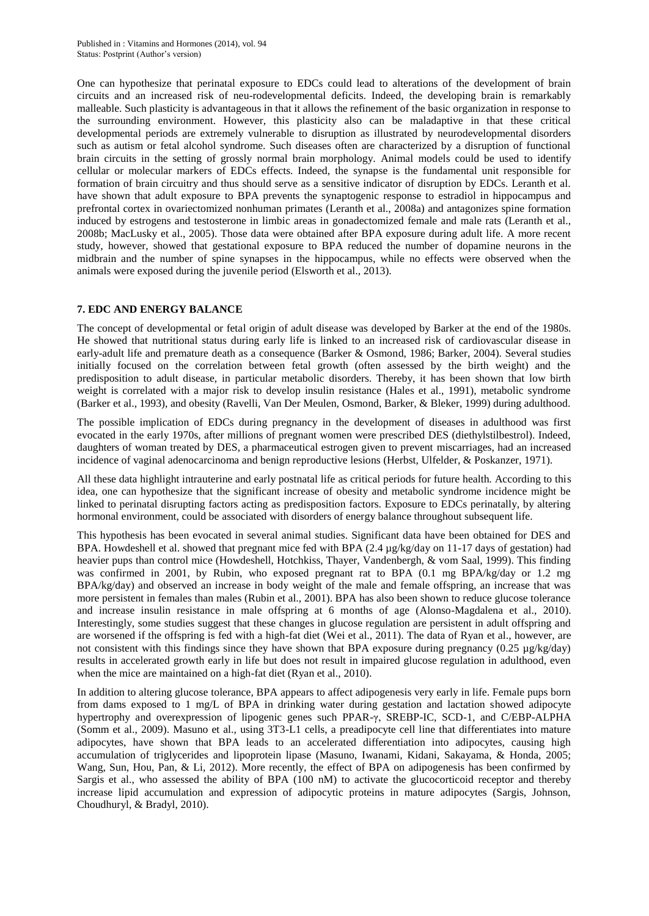One can hypothesize that perinatal exposure to EDCs could lead to alterations of the development of brain circuits and an increased risk of neu-rodevelopmental deficits. Indeed, the developing brain is remarkably malleable. Such plasticity is advantageous in that it allows the refinement of the basic organization in response to the surrounding environment. However, this plasticity also can be maladaptive in that these critical developmental periods are extremely vulnerable to disruption as illustrated by neurodevelopmental disorders such as autism or fetal alcohol syndrome. Such diseases often are characterized by a disruption of functional brain circuits in the setting of grossly normal brain morphology. Animal models could be used to identify cellular or molecular markers of EDCs effects. Indeed, the synapse is the fundamental unit responsible for formation of brain circuitry and thus should serve as a sensitive indicator of disruption by EDCs. Leranth et al. have shown that adult exposure to BPA prevents the synaptogenic response to estradiol in hippocampus and prefrontal cortex in ovariectomized nonhuman primates (Leranth et al., 2008a) and antagonizes spine formation induced by estrogens and testosterone in limbic areas in gonadectomized female and male rats (Leranth et al., 2008b; MacLusky et al., 2005). Those data were obtained after BPA exposure during adult life. A more recent study, however, showed that gestational exposure to BPA reduced the number of dopamine neurons in the midbrain and the number of spine synapses in the hippocampus, while no effects were observed when the animals were exposed during the juvenile period (Elsworth et al., 2013).

# **7. EDC AND ENERGY BALANCE**

The concept of developmental or fetal origin of adult disease was developed by Barker at the end of the 1980s. He showed that nutritional status during early life is linked to an increased risk of cardiovascular disease in early-adult life and premature death as a consequence (Barker & Osmond, 1986; Barker, 2004). Several studies initially focused on the correlation between fetal growth (often assessed by the birth weight) and the predisposition to adult disease, in particular metabolic disorders. Thereby, it has been shown that low birth weight is correlated with a major risk to develop insulin resistance (Hales et al., 1991), metabolic syndrome (Barker et al., 1993), and obesity (Ravelli, Van Der Meulen, Osmond, Barker, & Bleker, 1999) during adulthood.

The possible implication of EDCs during pregnancy in the development of diseases in adulthood was first evocated in the early 1970s, after millions of pregnant women were prescribed DES (diethylstilbestrol). Indeed, daughters of woman treated by DES, a pharmaceutical estrogen given to prevent miscarriages, had an increased incidence of vaginal adenocarcinoma and benign reproductive lesions (Herbst, Ulfelder, & Poskanzer, 1971).

All these data highlight intrauterine and early postnatal life as critical periods for future health. According to this idea, one can hypothesize that the significant increase of obesity and metabolic syndrome incidence might be linked to perinatal disrupting factors acting as predisposition factors. Exposure to EDCs perinatally, by altering hormonal environment, could be associated with disorders of energy balance throughout subsequent life.

This hypothesis has been evocated in several animal studies. Significant data have been obtained for DES and BPA. Howdeshell et al. showed that pregnant mice fed with BPA (2.4 µg/kg/day on 11-17 days of gestation) had heavier pups than control mice (Howdeshell, Hotchkiss, Thayer, Vandenbergh, & vom Saal, 1999). This finding was confirmed in 2001, by Rubin, who exposed pregnant rat to BPA (0.1 mg BPA/kg/day or 1.2 mg BPA/kg/day) and observed an increase in body weight of the male and female offspring, an increase that was more persistent in females than males (Rubin et al., 2001). BPA has also been shown to reduce glucose tolerance and increase insulin resistance in male offspring at 6 months of age (Alonso-Magdalena et al., 2010). Interestingly, some studies suggest that these changes in glucose regulation are persistent in adult offspring and are worsened if the offspring is fed with a high-fat diet (Wei et al., 2011). The data of Ryan et al., however, are not consistent with this findings since they have shown that BPA exposure during pregnancy (0.25 µg/kg/day) results in accelerated growth early in life but does not result in impaired glucose regulation in adulthood, even when the mice are maintained on a high-fat diet (Ryan et al., 2010).

In addition to altering glucose tolerance, BPA appears to affect adipogenesis very early in life. Female pups born from dams exposed to 1 mg/L of BPA in drinking water during gestation and lactation showed adipocyte hypertrophy and overexpression of lipogenic genes such PPAR-γ, SREBP-IC, SCD-1, and C/EBP-ALPHA (Somm et al., 2009). Masuno et al., using 3T3-L1 cells, a preadipocyte cell line that differentiates into mature adipocytes, have shown that BPA leads to an accelerated differentiation into adipocytes, causing high accumulation of triglycerides and lipoprotein lipase (Masuno, Iwanami, Kidani, Sakayama, & Honda, 2005; Wang, Sun, Hou, Pan, & Li, 2012). More recently, the effect of BPA on adipogenesis has been confirmed by Sargis et al., who assessed the ability of BPA (100 nM) to activate the glucocorticoid receptor and thereby increase lipid accumulation and expression of adipocytic proteins in mature adipocytes (Sargis, Johnson, Choudhuryl, & Bradyl, 2010).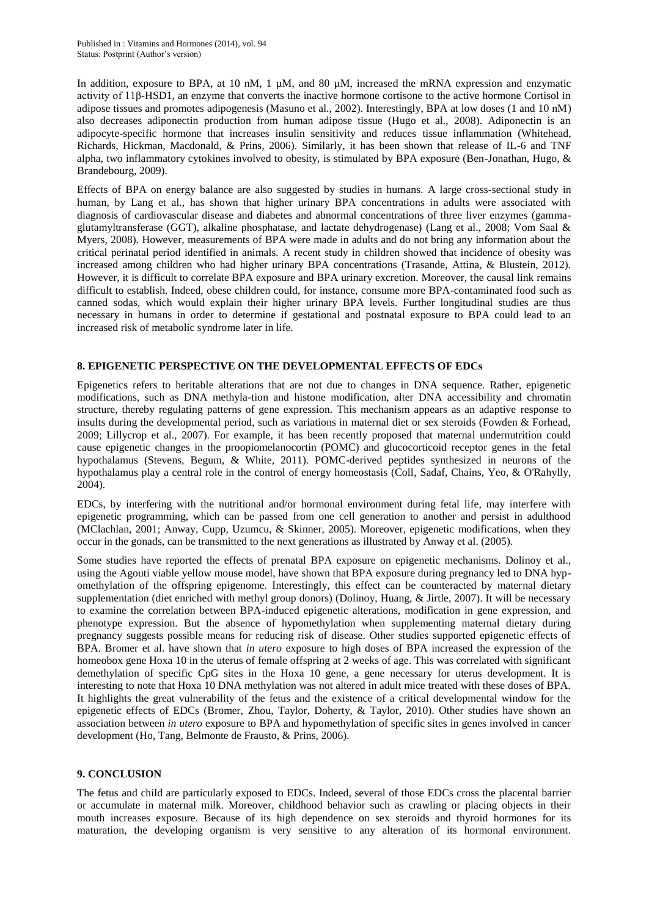In addition, exposure to BPA, at 10 nM, 1  $\mu$ M, and 80  $\mu$ M, increased the mRNA expression and enzymatic activity of 11β-HSD1, an enzyme that converts the inactive hormone cortisone to the active hormone Cortisol in adipose tissues and promotes adipogenesis (Masuno et al., 2002). Interestingly, BPA at low doses (1 and 10 nM) also decreases adiponectin production from human adipose tissue (Hugo et al., 2008). Adiponectin is an adipocyte-specific hormone that increases insulin sensitivity and reduces tissue inflammation (Whitehead, Richards, Hickman, Macdonald, & Prins, 2006). Similarly, it has been shown that release of IL-6 and TNF alpha, two inflammatory cytokines involved to obesity, is stimulated by BPA exposure (Ben-Jonathan, Hugo, & Brandebourg, 2009).

Effects of BPA on energy balance are also suggested by studies in humans. A large cross-sectional study in human, by Lang et al., has shown that higher urinary BPA concentrations in adults were associated with diagnosis of cardiovascular disease and diabetes and abnormal concentrations of three liver enzymes (gammaglutamyltransferase (GGT), alkaline phosphatase, and lactate dehydrogenase) (Lang et al., 2008; Vom Saal & Myers, 2008). However, measurements of BPA were made in adults and do not bring any information about the critical perinatal period identified in animals. A recent study in children showed that incidence of obesity was increased among children who had higher urinary BPA concentrations (Trasande, Attina, & Blustein, 2012). However, it is difficult to correlate BPA exposure and BPA urinary excretion. Moreover, the causal link remains difficult to establish. Indeed, obese children could, for instance, consume more BPA-contaminated food such as canned sodas, which would explain their higher urinary BPA levels. Further longitudinal studies are thus necessary in humans in order to determine if gestational and postnatal exposure to BPA could lead to an increased risk of metabolic syndrome later in life.

### **8. EPIGENETIC PERSPECTIVE ON THE DEVELOPMENTAL EFFECTS OF EDCs**

Epigenetics refers to heritable alterations that are not due to changes in DNA sequence. Rather, epigenetic modifications, such as DNA methyla-tion and histone modification, alter DNA accessibility and chromatin structure, thereby regulating patterns of gene expression. This mechanism appears as an adaptive response to insults during the developmental period, such as variations in maternal diet or sex steroids (Fowden & Forhead, 2009; Lillycrop et al., 2007). For example, it has been recently proposed that maternal undernutrition could cause epigenetic changes in the proopiomelanocortin (POMC) and glucocorticoid receptor genes in the fetal hypothalamus (Stevens, Begum, & White, 2011). POMC-derived peptides synthesized in neurons of the hypothalamus play a central role in the control of energy homeostasis (Coll, Sadaf, Chains, Yeo, & O'Rahylly, 2004).

EDCs, by interfering with the nutritional and/or hormonal environment during fetal life, may interfere with epigenetic programming, which can be passed from one cell generation to another and persist in adulthood (MClachlan, 2001; Anway, Cupp, Uzumcu, & Skinner, 2005). Moreover, epigenetic modifications, when they occur in the gonads, can be transmitted to the next generations as illustrated by Anway et al. (2005).

Some studies have reported the effects of prenatal BPA exposure on epigenetic mechanisms. Dolinoy et al., using the Agouti viable yellow mouse model, have shown that BPA exposure during pregnancy led to DNA hypomethylation of the offspring epigenome. Interestingly, this effect can be counteracted by maternal dietary supplementation (diet enriched with methyl group donors) (Dolinoy, Huang, & Jirtle, 2007). It will be necessary to examine the correlation between BPA-induced epigenetic alterations, modification in gene expression, and phenotype expression. But the absence of hypomethylation when supplementing maternal dietary during pregnancy suggests possible means for reducing risk of disease. Other studies supported epigenetic effects of BPA. Bromer et al. have shown that *in utero* exposure to high doses of BPA increased the expression of the homeobox gene Hoxa 10 in the uterus of female offspring at 2 weeks of age. This was correlated with significant demethylation of specific CpG sites in the Hoxa 10 gene, a gene necessary for uterus development. It is interesting to note that Hoxa 10 DNA methylation was not altered in adult mice treated with these doses of BPA. It highlights the great vulnerability of the fetus and the existence of a critical developmental window for the epigenetic effects of EDCs (Bromer, Zhou, Taylor, Doherty, & Taylor, 2010). Other studies have shown an association between *in utero* exposure to BPA and hypomethylation of specific sites in genes involved in cancer development (Ho, Tang, Belmonte de Frausto, & Prins, 2006).

#### **9. CONCLUSION**

The fetus and child are particularly exposed to EDCs. Indeed, several of those EDCs cross the placental barrier or accumulate in maternal milk. Moreover, childhood behavior such as crawling or placing objects in their mouth increases exposure. Because of its high dependence on sex steroids and thyroid hormones for its maturation, the developing organism is very sensitive to any alteration of its hormonal environment.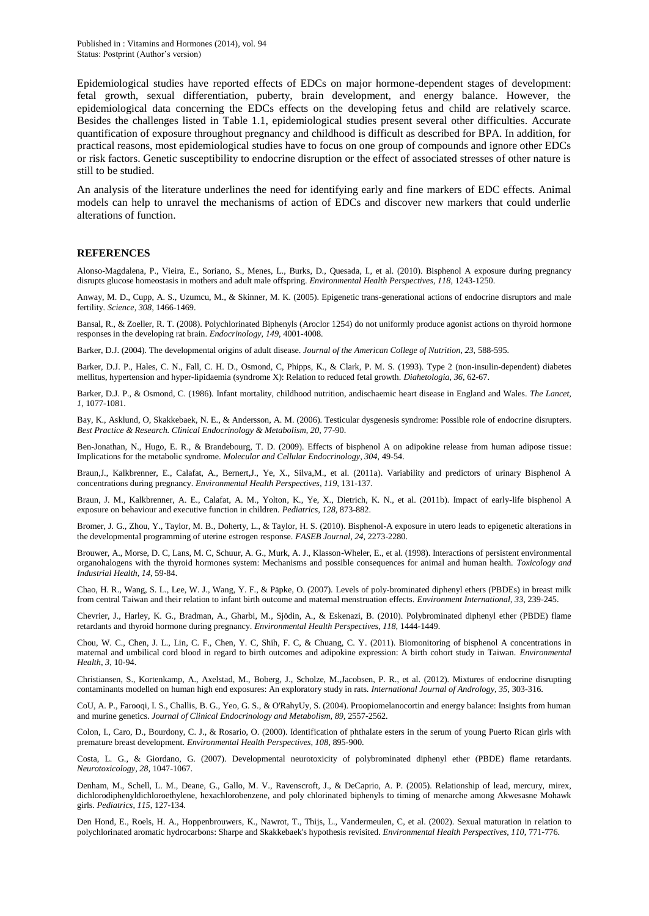Epidemiological studies have reported effects of EDCs on major hormone-dependent stages of development: fetal growth, sexual differentiation, puberty, brain development, and energy balance. However, the epidemiological data concerning the EDCs effects on the developing fetus and child are relatively scarce. Besides the challenges listed in Table 1.1, epidemiological studies present several other difficulties. Accurate quantification of exposure throughout pregnancy and childhood is difficult as described for BPA. In addition, for practical reasons, most epidemiological studies have to focus on one group of compounds and ignore other EDCs or risk factors. Genetic susceptibility to endocrine disruption or the effect of associated stresses of other nature is still to be studied.

An analysis of the literature underlines the need for identifying early and fine markers of EDC effects. Animal models can help to unravel the mechanisms of action of EDCs and discover new markers that could underlie alterations of function.

#### **REFERENCES**

Alonso-Magdalena, P., Vieira, E., Soriano, S., Menes, L., Burks, D., Quesada, I., et al. (2010). Bisphenol A exposure during pregnancy disrupts glucose homeostasis in mothers and adult male offspring. *Environmental Health Perspectives*, 118, 1243-1250.

Anway, M. D., Cupp, A. S., Uzumcu, M., & Skinner, M. K. (2005). Epigenetic trans-generational actions of endocrine disruptors and male fertility. *Science, 308,* 1466-1469.

Bansal, R., & Zoeller, R. T. (2008). Polychlorinated Biphenyls (Aroclor 1254) do not uniformly produce agonist actions on thyroid hormone responses in the developing rat brain. *Endocrinology, 149,* 4001-4008.

Barker, D.J. (2004). The developmental origins of adult disease. *Journal of the American College of Nutrition*, 23, 588-595.

Barker, D.J. P., Hales, C. N., Fall, C. H. D., Osmond, C, Phipps, K., & Clark, P. M. S. (1993). Type 2 (non-insulin-dependent) diabetes mellitus, hypertension and hyper-lipidaemia (syndrome X): Relation to reduced fetal growth. *Diahetologia, 36,* 62-67.

Barker, D.J. P., & Osmond, C. (1986). Infant mortality, childhood nutrition, andischaemic heart disease in England and Wales. *The Lancet, 1,* 1077-1081.

Bay, K., Asklund, O, Skakkebaek, N. E., & Andersson, A. M. (2006). Testicular dysgenesis syndrome: Possible role of endocrine disrupters. Best Practice & Research. Clinical Endocrinology & Metabolism, 20, 77-90.

Ben-Jonathan, N., Hugo, E. R., & Brandebourg, T. D. (2009). Effects of bisphenol A on adipokine release from human adipose tissue: Implications for the metabolic syndrome. *Molecular and Cellular Endocrinology, 304,* 49-54.

Braun,J., Kalkbrenner, E., Calafat, A., Bernert,J., Ye, X., Silva,M., et al. (2011a). Variability and predictors of urinary Bisphenol A concentrations during pregnancy. *Environmental Health Perspectives, 119,* 131-137.

Braun, J. M., Kalkbrenner, A. E., Calafat, A. M., Yolton, K., Ye, X., Dietrich, K. N., et al. (2011b). Impact of early-life bisphenol A exposure on behaviour and executive function in children. *Pediatrics, 128,* 873-882.

Bromer, J. G., Zhou, Y., Taylor, M. B., Doherty, L., & Taylor, H. S. (2010). Bisphenol-A exposure in utero leads to epigenetic alterations in the developmental programming of uterine estrogen response. *FASEB Journal, 24,* 2273-2280.

Brouwer, A., Morse, D. C, Lans, M. C, Schuur, A. G., Murk, A. J., Klasson-Wheler, E., et al. (1998). Interactions of persistent environmental organohalogens with the thyroid hormones system: Mechanisms and possible consequences for animal and human health. *Toxicology and Industrial Health, 14,* 59-84.

Chao, H. R., Wang, S. L., Lee, W. J., Wang, Y. F., & Päpke, O. (2007). Levels of poly-brominated diphenyl ethers (PBDEs) in breast milk from central Taiwan and their relation to infant birth outcome and maternal menstruation effects. *Environment International, 33,* 239-245.

Chevrier, J., Harley, K. G., Bradman, A., Gharbi, M., Sjödin, A., & Eskenazi, B. (2010). Polybrominated diphenyl ether (PBDE) flame retardants and thyroid hormone during pregnancy. *Environmental Health Perspectives, 118,* 1444-1449.

Chou, W. C., Chen, J. L., Lin, C. F., Chen, Y. C, Shih, F. C, & Chuang, C. Y. (2011). Biomonitoring of bisphenol A concentrations in maternal and umbilical cord blood in regard to birth outcomes and adipokine expression: A birth cohort study in Taiwan. *Environmental Health, 3,* 10-94.

Christiansen, S., Kortenkamp, A., Axelstad, M., Boberg, J., Scholze, M.,Jacobsen, P. R., et al. (2012). Mixtures of endocrine disrupting contaminants modelled on human high end exposures: An exploratory study in rats. *International Journal of Andrology, 35,* 303-316.

CoU, A. P., Farooqi, I. S., Challis, B. G., Yeo, G. S., & O'RahyUy, S. (2004). Proopiomelanocortin and energy balance: Insights from human and murine genetics. *Journal of Clinical Endocrinology and Metabolism, 89,* 2557-2562.

Colon, I., Caro, D., Bourdony, C. J., & Rosario, O. (2000). Identification of phthalate esters in the serum of young Puerto Rican girls with premature breast development. *Environmental Health Perspectives, 108,* 895-900.

Costa, L. G., & Giordano, G. (2007). Developmental neurotoxicity of polybrominated diphenyl ether (PBDE) flame retardants. *Neurotoxicology, 28,* 1047-1067.

Denham, M., Schell, L. M., Deane, G., Gallo, M. V., Ravenscroft, J., & DeCaprio, A. P. (2005). Relationship of lead, mercury, mirex, dichlorodiphenyldichloroethylene, hexachlorobenzene, and poly chlorinated biphenyls to timing of menarche among Akwesasne Mohawk girls. *Pediatrics, 115,* 127-134.

Den Hond, E., Roels, H. A., Hoppenbrouwers, K., Nawrot, T., Thijs, L., Vandermeulen, C, et al. (2002). Sexual maturation in relation to polychlorinated aromatic hydrocarbons: Sharpe and Skakkebaek's hypothesis revisited. *Environmental Health Perspectives, 110,* 771-776.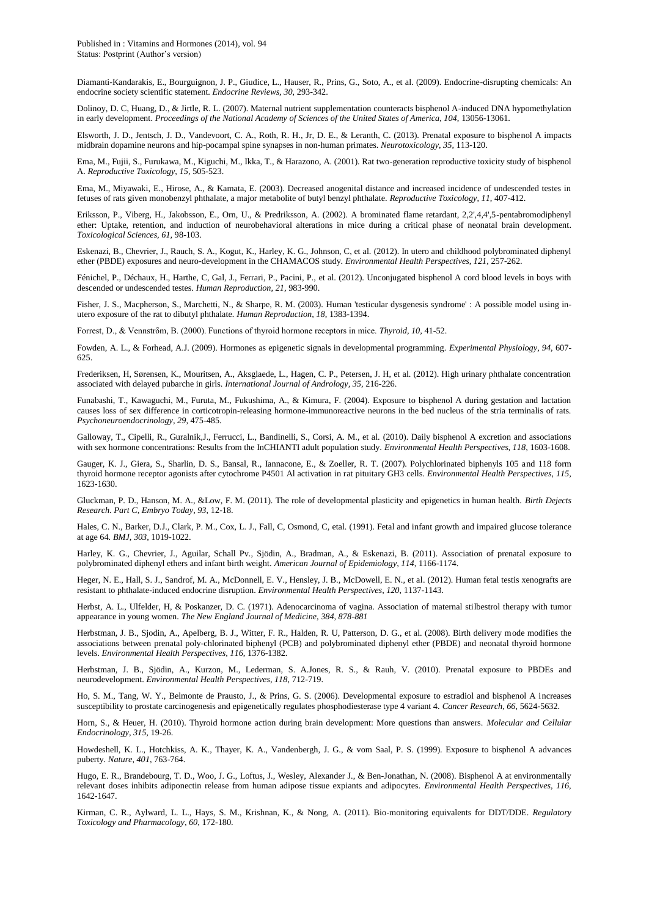Diamanti-Kandarakis, E., Bourguignon, J. P., Giudice, L., Hauser, R., Prins, G., Soto, A., et al. (2009). Endocrine-disrupting chemicals: An endocrine society scientific statement. *Endocrine Reviews, 30,* 293-342.

Dolinoy, D. C, Huang, D., & Jirtle, R. L. (2007). Maternal nutrient supplementation counteracts bisphenol A-induced DNA hypomethylation in early development. *Proceedings of the National Academy of Sciences of the United States of America, 104, 13056-13061*.

Elsworth, J. D., Jentsch, J. D., Vandevoort, C. A., Roth, R. H., Jr, D. E., & Leranth, C. (2013). Prenatal exposure to bisphenol A impacts midbrain dopamine neurons and hip-pocampal spine synapses in non-human primates. *Neurotoxicology, 35,* 113-120.

Ema, M., Fujii, S., Furukawa, M., Kiguchi, M., Ikka, T., & Harazono, A. (2001). Rat two-generation reproductive toxicity study of bisphenol A. *Reproductive Toxicology, 15,* 505-523.

Ema, M., Miyawaki, E., Hirose, A., & Kamata, E. (2003). Decreased anogenital distance and increased incidence of undescended testes in fetuses of rats given monobenzyl phthalate, a major metabolite of butyl benzyl phthalate. *Reproductive Toxicology, 11,* 407-412.

Eriksson, P., Viberg, H., Jakobsson, E., Orn, U., & Predriksson, A. (2002). A brominated flame retardant, 2,2',4,4',5-pentabromodiphenyl ether: Uptake, retention, and induction of neurobehavioral alterations in mice during a critical phase of neonatal brain development. *Toxicological Sciences, 61,* 98-103.

Eskenazi, B., Chevrier, J., Rauch, S. A., Kogut, K., Harley, K. G., Johnson, C, et al. (2012). In utero and childhood polybrominated diphenyl ether (PBDE) exposures and neuro-development in the CHAMACOS study. *Environmental Health Perspectives, 121,* 257-262.

Fénichel, P., Déchaux, H., Harthe, C, Gal, J., Ferrari, P., Pacini, P., et al. (2012). Unconjugated bisphenol A cord blood levels in boys with descended or undescended testes. *Human Reproduction, 21,* 983-990.

Fisher, J. S., Macpherson, S., Marchetti, N., & Sharpe, R. M. (2003). Human 'testicular dysgenesis syndrome' : A possible model using inutero exposure of the rat to dibutyl phthalate. *Human Reproduction, 18,* 1383-1394.

Forrest, D., & Vennstrδm, B. (2000). Functions of thyroid hormone receptors in mice. *Thyroid, 10,* 41-52.

Fowden, A. L., & Forhead, A.J. (2009). Hormones as epigenetic signals in developmental programming. *Experimental Physiology, 94,* 607- 625.

Frederiksen, H, Sørensen, K., Mouritsen, A., Aksglaede, L., Hagen, C. P., Petersen, J. H, et al. (2012). High urinary phthalate concentration associated with delayed pubarche in girls. *International Journal of Andrology, 35,* 216-226.

Funabashi, T., Kawaguchi, M., Furuta, M., Fukushima, A., & Kimura, F. (2004). Exposure to bisphenol A during gestation and lactation causes loss of sex difference in corticotropin-releasing hormone-immunoreactive neurons in the bed nucleus of the stria terminalis of rats. *Psychoneuroendocrinology, 29,* 475-485.

Galloway, T., Cipelli, R., Guralnik,J., Ferrucci, L., Bandinelli, S., Corsi, A. M., et al. (2010). Daily bisphenol A excretion and associations with sex hormone concentrations: Results from the InCHIANTI adult population study. *Environmental Health Perspectives, 118*, 1603-1608.

Gauger, K. J., Giera, S., Sharlin, D. S., Bansal, R., Iannacone, E., & Zoeller, R. T. (2007). Polychlorinated biphenyls 105 and 118 form thyroid hormone receptor agonists after cytochrome P4501 Al activation in rat pituitary GH3 cells. *Environmental Health Perspectives, 115,*  1623-1630.

Gluckman, P. D., Hanson, M. A., &Low, F. M. (2011). The role of developmental plasticity and epigenetics in human health. *Birth Dejects Research. Part C, Embryo Today, 93,* 12-18.

Hales, C. N., Barker, D.J., Clark, P. M., Cox, L. J., Fall, C, Osmond, C, etal. (1991). Fetal and infant growth and impaired glucose tolerance at age 64. *BMJ, 303,* 1019-1022.

Harley, K. G., Chevrier, J., Aguilar, Schall Pv., Sjödin, A., Bradman, A., & Eskenazi, B. (2011). Association of prenatal exposure to polybrominated diphenyl ethers and infant birth weight. *American Journal of Epidemiology, 114,* 1166-1174.

Heger, N. E., Hall, S. J., Sandrof, M. A., McDonnell, E. V., Hensley, J. B., McDowell, E. N., et al. (2012). Human fetal testis xenografts are resistant to phthalate-induced endocrine disruption. *Environmental Health Perspectives, 120,* 1137-1143.

Herbst, A. L., Ulfelder, H, & Poskanzer, D. C. (1971). Adenocarcinoma of vagina. Association of maternal stilbestrol therapy with tumor appearance in young women. *The New England Journal of Medicine, 384, 878-881*

Herbstman, J. B., Sjodin, A., Apelberg, B. J., Witter, F. R., Halden, R. U, Patterson, D. G., et al. (2008). Birth delivery mode modifies the associations between prenatal poly-chlorinated biphenyl (PCB) and polybrominated diphenyl ether (PBDE) and neonatal thyroid hormone levels. *Environmental Health Perspectives, 116,* 1376-1382.

Herbstman, J. B., Sjödin, A., Kurzon, M., Lederman, S. A.Jones, R. S., & Rauh, V. (2010). Prenatal exposure to PBDEs and neurodevelopment. *Environmental Health Perspectives, 118,* 712-719.

Ho, S. M., Tang, W. Y., Belmonte de Prausto, J., & Prins, G. S. (2006). Developmental exposure to estradiol and bisphenol A increases susceptibility to prostate carcinogenesis and epigenetically regulates phosphodiesterase type 4 variant 4. *Cancer Research, 66,* 5624-5632.

Horn, S., & Heuer, H. (2010). Thyroid hormone action during brain development: More questions than answers. *Molecular and Cellular Endocrinology, 315,* 19-26.

Howdeshell, K. L., Hotchkiss, A. K., Thayer, K. A., Vandenbergh, J. G., & vom Saal, P. S. (1999). Exposure to bisphenol A advances puberty. *Nature, 401,* 763-764.

Hugo, E. R., Brandebourg, T. D., Woo, J. G., Loftus, J., Wesley, Alexander J., & Ben-Jonathan, N. (2008). Bisphenol A at environmentally relevant doses inhibits adiponectin release from human adipose tissue expiants and adipocytes. *Environmental Health Perspectives, 116,*  1642-1647.

Kirman, C. R., Aylward, L. L., Hays, S. M., Krishnan, K., & Nong, A. (2011). Bio-monitoring equivalents for DDT/DDE. *Regulatory Toxicology and Pharmacology, 60,* 172-180.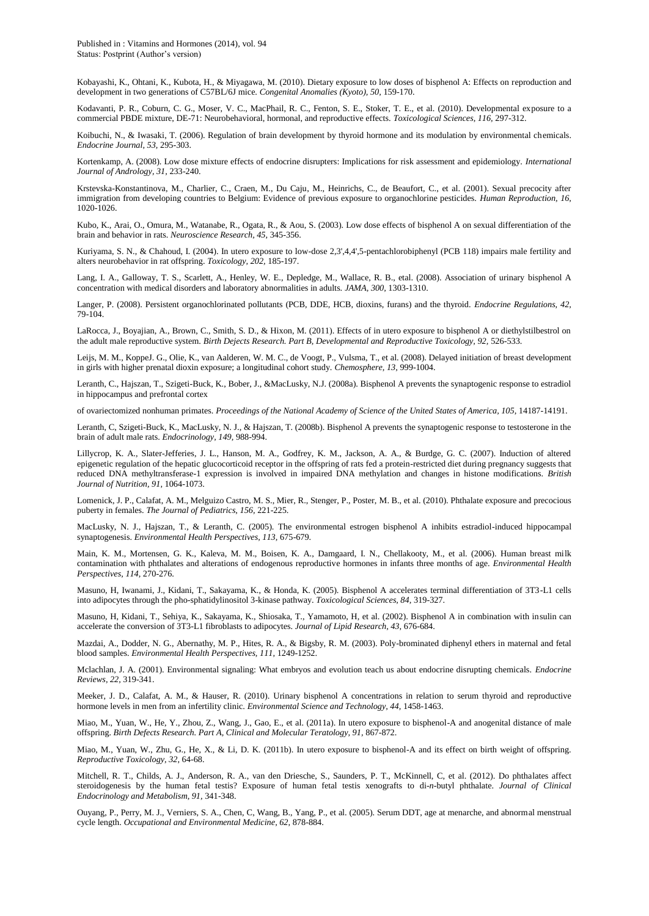Published in : Vitamins and Hormones (2014), vol. 94 Status: Postprint (Author's version)

Kobayashi, K., Ohtani, K., Kubota, H., & Miyagawa, M. (2010). Dietary exposure to low doses of bisphenol A: Effects on reproduction and development in two generations of C57BL/6J mice. *Congenital Anomalies (Kyoto), 50,* 159-170.

Kodavanti, P. R., Coburn, C. G., Moser, V. C., MacPhail, R. C., Fenton, S. E., Stoker, T. E., et al. (2010). Developmental exposure to a commercial PBDE mixture, DE-71: Neurobehavioral, hormonal, and reproductive effects. *Toxicological Sciences, 116,* 297-312.

Koibuchi, N., & Iwasaki, T. (2006). Regulation of brain development by thyroid hormone and its modulation by environmental chemicals. *Endocrine Journal, 53,* 295-303.

Kortenkamp, A. (2008). Low dose mixture effects of endocrine disrupters: Implications for risk assessment and epidemiology. *International Journal of Andrology, 31,* 233-240.

Krstevska-Konstantinova, M., Charlier, C., Craen, M., Du Caju, M., Heinrichs, C., de Beaufort, C., et al. (2001). Sexual precocity after immigration from developing countries to Belgium: Evidence of previous exposure to organochlorine pesticides. *Human Reproduction, 16,*  1020-1026.

Kubo, K., Arai, O., Omura, M., Watanabe, R., Ogata, R., & Aou, S. (2003). Low dose effects of bisphenol A on sexual differentiation of the brain and behavior in rats. *Neuroscience Research, 45,* 345-356.

Kuriyama, S. N., & Chahoud, I. (2004). In utero exposure to low-dose 2,3',4,4',5-pentachlorobiphenyl (PCB 118) impairs male fertility and alters neurobehavior in rat offspring. *Toxicology, 202,* 185-197.

Lang, I. A., Galloway, T. S., Scarlett, A., Henley, W. E., Depledge, M., Wallace, R. B., etal. (2008). Association of urinary bisphenol A concentration with medical disorders and laboratory abnormalities in adults. *JAMA, 300,* 1303-1310.

Langer, P. (2008). Persistent organochlorinated pollutants (PCB, DDE, HCB, dioxins, furans) and the thyroid. *Endocrine Regulations, 42,*  79-104.

LaRocca, J., Boyajian, A., Brown, C., Smith, S. D., & Hixon, M. (2011). Effects of in utero exposure to bisphenol A or diethylstilbestrol on the adult male reproductive system. *Birth Dejects Research. Part B, Developmental and Reproductive Toxicology, 92, 526-533*.

Leijs, M. M., KoppeJ. G., Olie, K., van Aalderen, W. M. C., de Voogt, P., Vulsma, T., et al. (2008). Delayed initiation of breast development in girls with higher prenatal dioxin exposure; a longitudinal cohort study. *Chemosphere, 13,* 999-1004.

Leranth, C., Hajszan, T., Szigeti-Buck, K., Bober, J., &MacLusky, N.J. (2008a). Bisphenol A prevents the synaptogenic response to estradiol in hippocampus and prefrontal cortex

of ovariectomized nonhuman primates. *Proceedings of the National Academy of Science of the United States of America, 105,* 14187-14191.

Leranth, C, Szigeti-Buck, K., MacLusky, N. J., & Hajszan, T. (2008b). Bisphenol A prevents the synaptogenic response to testosterone in the brain of adult male rats. *Endocrinology, 149,* 988-994.

Lillycrop, K. A., Slater-Jefferies, J. L., Hanson, M. A., Godfrey, K. M., Jackson, A. A., & Burdge, G. C. (2007). Induction of altered epigenetic regulation of the hepatic glucocorticoid receptor in the offspring of rats fed a protein-restricted diet during pregnancy suggests that reduced DNA methyltransferase-1 expression is involved in impaired DNA methylation and changes in histone modifications. *British Journal of Nutrition, 91,* 1064-1073.

Lomenick, J. P., Calafat, A. M., Melguizo Castro, M. S., Mier, R., Stenger, P., Poster, M. B., et al. (2010). Phthalate exposure and precocious puberty in females. *The Journal of Pediatrics, 156,* 221-225.

MacLusky, N. J., Hajszan, T., & Leranth, C. (2005). The environmental estrogen bisphenol A inhibits estradiol-induced hippocampal synaptogenesis. *Environmental Health Perspectives, 113,* 675-679.

Main, K. M., Mortensen, G. K., Kaleva, M. M., Boisen, K. A., Damgaard, I. N., Chellakooty, M., et al. (2006). Human breast milk contamination with phthalates and alterations of endogenous reproductive hormones in infants three months of age. *Environmental Health Perspectives, 114,* 270-276.

Masuno, H, Iwanami, J., Kidani, T., Sakayama, K., & Honda, K. (2005). Bisphenol A accelerates terminal differentiation of 3T3-L1 cells into adipocytes through the pho-sphatidylinositol 3-kinase pathway. *Toxicological Sciences, 84,* 319-327.

Masuno, H, Kidani, T., Sehiya, K., Sakayama, K., Shiosaka, T., Yamamoto, H, et al. (2002). Bisphenol A in combination with insulin can accelerate the conversion of 3T3-L1 fibroblasts to adipocytes. *Journal of Lipid Research, 43,* 676-684.

Mazdai, A., Dodder, N. G., Abernathy, M. P., Hites, R. A., & Bigsby, R. M. (2003). Poly-brominated diphenyl ethers in maternal and fetal blood samples. *Environmental Health Perspectives, 111,* 1249-1252.

Mclachlan, J. A. (2001). Environmental signaling: What embryos and evolution teach us about endocrine disrupting chemicals. *Endocrine Reviews, 22,* 319-341.

Meeker, J. D., Calafat, A. M., & Hauser, R. (2010). Urinary bisphenol A concentrations in relation to serum thyroid and reproductive hormone levels in men from an infertility clinic. *Environmental Science and Technology, 44,* 1458-1463.

Miao, M., Yuan, W., He, Y., Zhou, Z., Wang, J., Gao, E., et al. (2011a). In utero exposure to bisphenol-A and anogenital distance of male offspring. *Birth Defects Research. Part A, Clinical and Molecular Teratology, 91,* 867-872.

Miao, M., Yuan, W., Zhu, G., He, X., & Li, D. K. (2011b). In utero exposure to bisphenol-A and its effect on birth weight of offspring. *Reproductive Toxicology, 32,* 64-68.

Mitchell, R. T., Childs, A. J., Anderson, R. A., van den Driesche, S., Saunders, P. T., McKinnell, C, et al. (2012). Do phthalates affect steroidogenesis by the human fetal testis? Exposure of human fetal testis xenografts to di-*n*-butyl phthalate. *Journal of Clinical Endocrinology and Metabolism, 91,* 341-348.

Ouyang, P., Perry, M. J., Verniers, S. A., Chen, C, Wang, B., Yang, P., et al. (2005). Serum DDT, age at menarche, and abnormal menstrual cycle length. *Occupational and Environmental Medicine, 62,* 878-884.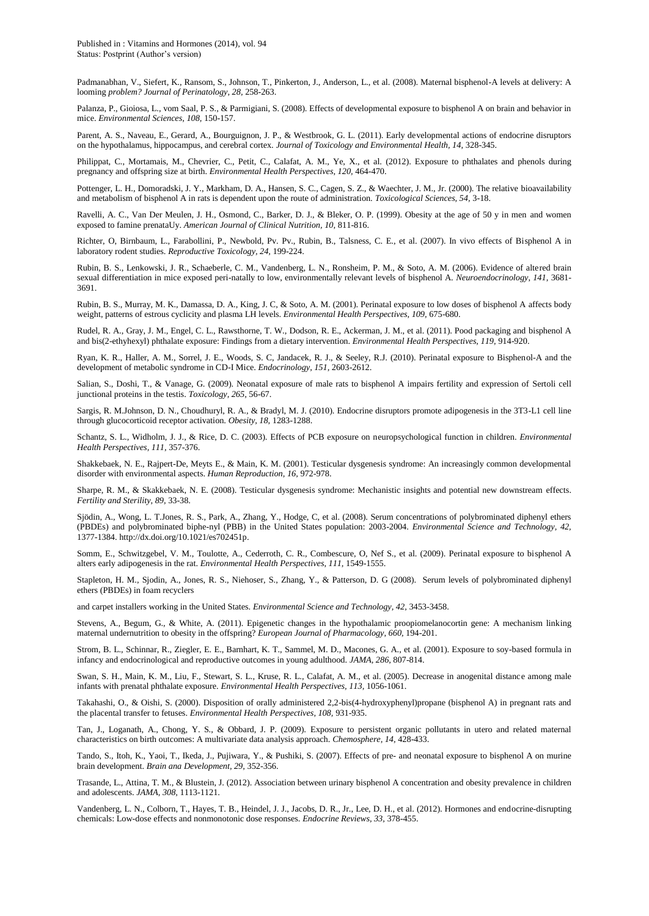Padmanabhan, V., Siefert, K., Ransom, S., Johnson, T., Pinkerton, J., Anderson, L., et al. (2008). Maternal bisphenol-A levels at delivery: A looming *problem? Journal of Perinatology, 28,* 258-263.

Palanza, P., Gioiosa, L., vom Saal, P. S., & Parmigiani, S. (2008). Effects of developmental exposure to bisphenol A on brain and behavior in mice. *Environmental Sciences, 108,* 150-157.

Parent, A. S., Naveau, E., Gerard, A., Bourguignon, J. P., & Westbrook, G. L. (2011). Early developmental actions of endocrine disruptors on the hypothalamus, hippocampus, and cerebral cortex. *Journal of Toxicology and Environmental Health, 14, 328-345.* 

Philippat, C., Mortamais, M., Chevrier, C., Petit, C., Calafat, A. M., Ye, X., et al. (2012). Exposure to phthalates and phenols during pregnancy and offspring size at birth. *Environmental Health Perspectives, 120,* 464-470.

Pottenger, L. H., Domoradski, J. Y., Markham, D. A., Hansen, S. C., Cagen, S. Z., & Waechter, J. M., Jr. (2000). The relative bioavailability and metabolism of bisphenol A in rats is dependent upon the route of administration. *Toxicological Sciences, 54,* 3-18.

Ravelli, A. C., Van Der Meulen, J. H., Osmond, C., Barker, D. J., & Bleker, O. P. (1999). Obesity at the age of 50 y in men and women exposed to famine prenataUy. *American Journal of Clinical Nutrition, 10,* 811-816.

Richter, O, Birnbaum, L., Farabollini, P., Newbold, Pv. Pv., Rubin, B., Talsness, C. E., et al. (2007). In vivo effects of Bisphenol A in laboratory rodent studies. *Reproductive Toxicology, 24,* 199-224.

Rubin, B. S., Lenkowski, J. R., Schaeberle, C. M., Vandenberg, L. N., Ronsheim, P. M., & Soto, A. M. (2006). Evidence of altered brain sexual differentiation in mice exposed peri-natally to low, environmentally relevant levels of bisphenol A. *Neuroendocrinology, 141,* 3681- 3691.

Rubin, B. S., Murray, M. K., Damassa, D. A., King, J. C, & Soto, A. M. (2001). Perinatal exposure to low doses of bisphenol A affects body weight, patterns of estrous cyclicity and plasma LH levels. *Environmental Health Perspectives, 109,* 675-680.

Rudel, R. A., Gray, J. M., Engel, C. L., Rawsthorne, T. W., Dodson, R. E., Ackerman, J. M., et al. (2011). Pood packaging and bisphenol A and bis(2-ethyhexyl) phthalate exposure: Findings from a dietary intervention. *Environmental Health Perspectives, 119,* 914-920.

Ryan, K. R., Haller, A. M., Sorrel, J. E., Woods, S. C, Jandacek, R. J., & Seeley, R.J. (2010). Perinatal exposure to Bisphenol-A and the development of metabolic syndrome in CD-I Mice. *Endocrinology, 151,* 2603-2612.

Salian, S., Doshi, T., & Vanage, G. (2009). Neonatal exposure of male rats to bisphenol A impairs fertility and expression of Sertoli cell junctional proteins in the testis. *Toxicology, 265,* 56-67.

Sargis, R. M.Johnson, D. N., Choudhuryl, R. A., & Bradyl, M. J. (2010). Endocrine disruptors promote adipogenesis in the 3T3-L1 cell line through glucocorticoid receptor activation. *Obesity, 18,* 1283-1288.

Schantz, S. L., Widholm, J. J., & Rice, D. C. (2003). Effects of PCB exposure on neuropsychological function in children. *Environmental Health Perspectives, 111,* 357-376.

Shakkebaek, N. E., Rajpert-De, Meyts E., & Main, K. M. (2001). Testicular dysgenesis syndrome: An increasingly common developmental disorder with environmental aspects. *Human Reproduction, 16,* 972-978.

Sharpe, R. M., & Skakkebaek, N. E. (2008). Testicular dysgenesis syndrome: Mechanistic insights and potential new downstream effects. *Fertility and Sterility, 89,* 33-38.

Sjödin, A., Wong, L. T.Jones, R. S., Park, A., Zhang, Y., Hodge, C, et al. (2008). Serum concentrations of polybrominated diphenyl ethers (PBDEs) and polybrominated biphe-nyl (PBB) in the United States population: 2003-2004. *Environmental Science and Technology, 42,*  1377-1384[. http://dx.doi.org/10.1021/es702451p.](http://dx.doi.org/10.1021/es702451p)

Somm, E., Schwitzgebel, V. M., Toulotte, A., Cederroth, C. R., Combescure, O, Nef S., et al. (2009). Perinatal exposure to bisphenol A alters early adipogenesis in the rat. *Environmental Health Perspectives, 111,* 1549-1555.

Stapleton, H. M., Sjodin, A., Jones, R. S., Niehoser, S., Zhang, Y., & Patterson, D. G (2008). Serum levels of polybrominated diphenyl ethers (PBDEs) in foam recyclers

and carpet installers working in the United States. *Environmental Science and Technology, 42,* 3453-3458.

Stevens, A., Begum, G., & White, A. (2011). Epigenetic changes in the hypothalamic proopiomelanocortin gene: A mechanism linking maternal undernutrition to obesity in the offspring? *European Journal of Pharmacology, 660,* 194-201.

Strom, B. L., Schinnar, R., Ziegler, E. E., Barnhart, K. T., Sammel, M. D., Macones, G. A., et al. (2001). Exposure to soy-based formula in infancy and endocrinological and reproductive outcomes in young adulthood. *JAMA, 286,* 807-814.

Swan, S. H., Main, K. M., Liu, F., Stewart, S. L., Kruse, R. L., Calafat, A. M., et al. (2005). Decrease in anogenital distance among male infants with prenatal phthalate exposure. *Environmental Health Perspectives, 113,* 1056-1061.

Takahashi, O., & Oishi, S. (2000). Disposition of orally administered 2,2-bis(4-hydroxyphenyl)propane (bisphenol A) in pregnant rats and the placental transfer to fetuses. *Environmental Health Perspectives, 108,* 931-935.

Tan, J., Loganath, A., Chong, Y. S., & Obbard, J. P. (2009). Exposure to persistent organic pollutants in utero and related maternal characteristics on birth outcomes: A multivariate data analysis approach. *Chemosphere, 14,* 428-433.

Tando, S., Itoh, K., Yaoi, T., Ikeda, J., Pujiwara, Y., & Pushiki, S. (2007). Effects of pre- and neonatal exposure to bisphenol A on murine brain development. *Brain ana Development, 29,* 352-356.

Trasande, L., Attina, T. M., & Blustein, J. (2012). Association between urinary bisphenol A concentration and obesity prevalence in children and adolescents. *JAMA, 308,* 1113-1121.

Vandenberg, L. N., Colborn, T., Hayes, T. B., Heindel, J. J., Jacobs, D. R., Jr., Lee, D. H., et al. (2012). Hormones and endocrine-disrupting chemicals: Low-dose effects and nonmonotonic dose responses. *Endocrine Reviews, 33,* 378-455.